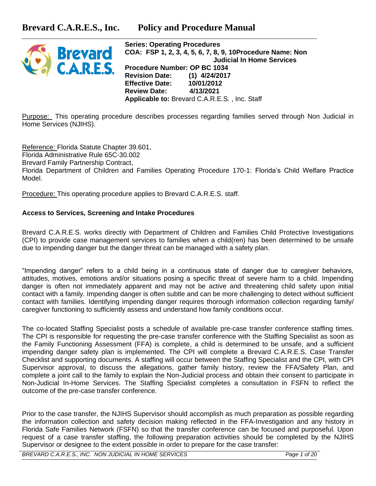

**Series: Operating Procedures COA: FSP 1, 2, 3, 4, 5, 6, 7, 8, 9, 10Procedure Name: Non Judicial In Home Services Procedure Number: OP BC 1034 Revision Date: (1) 4/24/2017 Effective Date: 10/01/2012 Review Date: 4/13/2021 Applicable to:** Brevard C.A.R.E.S. , Inc. Staff

Purpose: This operating procedure describes processes regarding families served through Non Judicial in Home Services (NJIHS).

Reference: Florida Statute Chapter 39.601, Florida Administrative Rule 65C-30.002 Brevard Family Partnership Contract, Florida Department of Children and Families Operating Procedure 170-1: Florida's Child Welfare Practice Model.

Procedure: This operating procedure applies to Brevard C.A.R.E.S. staff.

## **Access to Services, Screening and Intake Procedures**

Brevard C.A.R.E.S. works directly with Department of Children and Families Child Protective Investigations (CPI) to provide case management services to families when a child(ren) has been determined to be unsafe due to impending danger but the danger threat can be managed with a safety plan.

"Impending danger" refers to a child being in a continuous state of danger due to caregiver behaviors, attitudes, motives, emotions and/or situations posing a specific threat of severe harm to a child. Impending danger is often not immediately apparent and may not be active and threatening child safety upon initial contact with a family. Impending danger is often subtle and can be more challenging to detect without sufficient contact with families. Identifying impending danger requires thorough information collection regarding family/ caregiver functioning to sufficiently assess and understand how family conditions occur.

The co-located Staffing Specialist posts a schedule of available pre-case transfer conference staffing times. The CPI is responsible for requesting the pre-case transfer conference with the Staffing Specialist as soon as the Family Functioning Assessment (FFA) is complete, a child is determined to be unsafe, and a sufficient impending danger safety plan is implemented. The CPI will complete a Brevard C.A.R.E.S. Case Transfer Checklist and supporting documents. A staffing will occur between the Staffing Specialist and the CPI, with CPI Supervisor approval, to discuss the allegations, gather family history, review the FFA/Safety Plan, and complete a joint call to the family to explain the Non-Judicial process and obtain their consent to participate in Non-Judicial In-Home Services. The Staffing Specialist completes a consultation in FSFN to reflect the outcome of the pre-case transfer conference.

Prior to the case transfer, the NJIHS Supervisor should accomplish as much preparation as possible regarding the information collection and safety decision making reflected in the FFA-Investigation and any history in Florida Safe Families Network (FSFN) so that the transfer conference can be focused and purposeful. Upon request of a case transfer staffing, the following preparation activities should be completed by the NJIHS Supervisor or designee to the extent possible in order to prepare for the case transfer:

*BREVARD C.A.R.E.S., INC. NON JUDICIAL IN HOME SERVICES Page 1 of 20*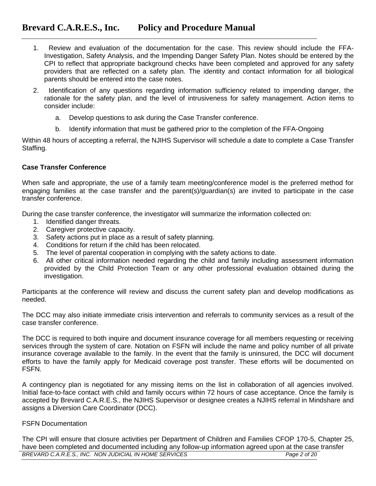- 1. Review and evaluation of the documentation for the case. This review should include the FFA-Investigation, Safety Analysis, and the Impending Danger Safety Plan. Notes should be entered by the CPI to reflect that appropriate background checks have been completed and approved for any safety providers that are reflected on a safety plan. The identity and contact information for all biological parents should be entered into the case notes.
- 2. Identification of any questions regarding information sufficiency related to impending danger, the rationale for the safety plan, and the level of intrusiveness for safety management. Action items to consider include:
	- a. Develop questions to ask during the Case Transfer conference.
	- b. Identify information that must be gathered prior to the completion of the FFA-Ongoing

Within 48 hours of accepting a referral, the NJIHS Supervisor will schedule a date to complete a Case Transfer Staffing.

### **Case Transfer Conference**

When safe and appropriate, the use of a family team meeting/conference model is the preferred method for engaging families at the case transfer and the parent(s)/guardian(s) are invited to participate in the case transfer conference.

During the case transfer conference, the investigator will summarize the information collected on:

- 1. Identified danger threats.
- 2. Caregiver protective capacity.
- 3. Safety actions put in place as a result of safety planning.
- 4. Conditions for return if the child has been relocated.
- 5. The level of parental cooperation in complying with the safety actions to date.
- 6. All other critical information needed regarding the child and family including assessment information provided by the Child Protection Team or any other professional evaluation obtained during the investigation.

Participants at the conference will review and discuss the current safety plan and develop modifications as needed.

The DCC may also initiate immediate crisis intervention and referrals to community services as a result of the case transfer conference.

The DCC is required to both inquire and document insurance coverage for all members requesting or receiving services through the system of care. Notation on FSFN will include the name and policy number of all private insurance coverage available to the family. In the event that the family is uninsured, the DCC will document efforts to have the family apply for Medicaid coverage post transfer. These efforts will be documented on FSFN.

A contingency plan is negotiated for any missing items on the list in collaboration of all agencies involved. Initial face-to-face contact with child and family occurs within 72 hours of case acceptance. Once the family is accepted by Brevard C.A.R.E.S., the NJIHS Supervisor or designee creates a NJIHS referral in Mindshare and assigns a Diversion Care Coordinator (DCC).

### FSFN Documentation

*BREVARD C.A.R.E.S., INC. NON JUDICIAL IN HOME SERVICES Page 2 of 20* The CPI will ensure that closure activities per Department of Children and Families CFOP 170-5, Chapter 25, have been completed and documented including any follow-up information agreed upon at the case transfer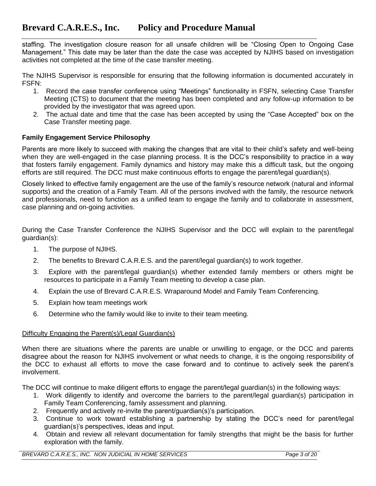staffing. The investigation closure reason for all unsafe children will be "Closing Open to Ongoing Case Management." This date may be later than the date the case was accepted by NJIHS based on investigation activities not completed at the time of the case transfer meeting.

The NJIHS Supervisor is responsible for ensuring that the following information is documented accurately in FSFN:

- 1. Record the case transfer conference using "Meetings" functionality in FSFN, selecting Case Transfer Meeting (CTS) to document that the meeting has been completed and any follow-up information to be provided by the investigator that was agreed upon.
- 2. The actual date and time that the case has been accepted by using the "Case Accepted" box on the Case Transfer meeting page.

## **Family Engagement Service Philosophy**

Parents are more likely to succeed with making the changes that are vital to their child's safety and well-being when they are well-engaged in the case planning process. It is the DCC's responsibility to practice in a way that fosters family engagement. Family dynamics and history may make this a difficult task, but the ongoing efforts are still required. The DCC must make continuous efforts to engage the parent/legal guardian(s).

Closely linked to effective family engagement are the use of the family's resource network (natural and informal supports) and the creation of a Family Team. All of the persons involved with the family, the resource network and professionals, need to function as a unified team to engage the family and to collaborate in assessment, case planning and on-going activities.

During the Case Transfer Conference the NJIHS Supervisor and the DCC will explain to the parent/legal guardian(s):

- 1. The purpose of NJIHS.
- 2. The benefits to Brevard C.A.R.E.S. and the parent/legal guardian(s) to work together.
- 3. Explore with the parent/legal guardian(s) whether extended family members or others might be resources to participate in a Family Team meeting to develop a case plan.
- 4. Explain the use of Brevard C.A.R.E.S. Wraparound Model and Family Team Conferencing.
- 5. Explain how team meetings work
- 6. Determine who the family would like to invite to their team meeting.

# Difficulty Engaging the Parent(s)/Legal Guardian(s)

When there are situations where the parents are unable or unwilling to engage, or the DCC and parents disagree about the reason for NJIHS involvement or what needs to change, it is the ongoing responsibility of the DCC to exhaust all efforts to move the case forward and to continue to actively seek the parent's involvement.

The DCC will continue to make diligent efforts to engage the parent/legal guardian(s) in the following ways:

- 1. Work diligently to identify and overcome the barriers to the parent/legal guardian(s) participation in Family Team Conferencing, family assessment and planning.
- 2. Frequently and actively re-invite the parent/guardian(s)'s participation.
- 3. Continue to work toward establishing a partnership by stating the DCC's need for parent/legal guardian(s)'s perspectives, ideas and input.
- 4. Obtain and review all relevant documentation for family strengths that might be the basis for further exploration with the family.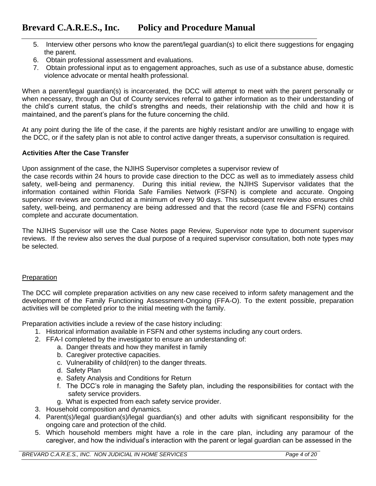- 5. Interview other persons who know the parent/legal guardian(s) to elicit there suggestions for engaging the parent.
- 6. Obtain professional assessment and evaluations.
- 7. Obtain professional input as to engagement approaches, such as use of a substance abuse, domestic violence advocate or mental health professional.

When a parent/legal guardian(s) is incarcerated, the DCC will attempt to meet with the parent personally or when necessary, through an Out of County services referral to gather information as to their understanding of the child's current status, the child's strengths and needs, their relationship with the child and how it is maintained, and the parent's plans for the future concerning the child.

At any point during the life of the case, if the parents are highly resistant and/or are unwilling to engage with the DCC, or if the safety plan is not able to control active danger threats, a supervisor consultation is required.

## **Activities After the Case Transfer**

Upon assignment of the case, the NJIHS Supervisor completes a supervisor review of

the case records within 24 hours to provide case direction to the DCC as well as to immediately assess child safety, well-being and permanency. During this initial review, the NJIHS Supervisor validates that the information contained within Florida Safe Families Network (FSFN) is complete and accurate. Ongoing supervisor reviews are conducted at a minimum of every 90 days. This subsequent review also ensures child safety, well-being, and permanency are being addressed and that the record (case file and FSFN) contains complete and accurate documentation.

The NJIHS Supervisor will use the Case Notes page Review, Supervisor note type to document supervisor reviews. If the review also serves the dual purpose of a required supervisor consultation, both note types may be selected.

# Preparation

The DCC will complete preparation activities on any new case received to inform safety management and the development of the Family Functioning Assessment-Ongoing (FFA-O). To the extent possible, preparation activities will be completed prior to the initial meeting with the family.

Preparation activities include a review of the case history including:

- 1. Historical information available in FSFN and other systems including any court orders.
- 2. FFA-I completed by the investigator to ensure an understanding of:
	- a. Danger threats and how they manifest in family
	- b. Caregiver protective capacities.
	- c. Vulnerability of child(ren) to the danger threats.
	- d. Safety Plan
	- e. Safety Analysis and Conditions for Return
	- f. The DCC's role in managing the Safety plan, including the responsibilities for contact with the safety service providers.
	- g. What is expected from each safety service provider.
- 3. Household composition and dynamics.
- 4. Parent(s)/legal guardian(s)/legal guardian(s) and other adults with significant responsibility for the ongoing care and protection of the child.
- 5. Which household members might have a role in the care plan, including any paramour of the caregiver, and how the individual's interaction with the parent or legal guardian can be assessed in the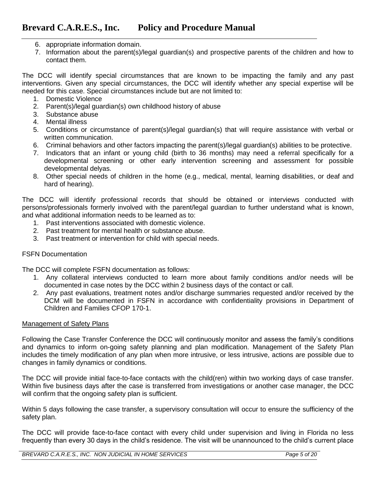- 6. appropriate information domain.
- 7. Information about the parent(s)/legal guardian(s) and prospective parents of the children and how to contact them.

The DCC will identify special circumstances that are known to be impacting the family and any past interventions. Given any special circumstances, the DCC will identify whether any special expertise will be needed for this case. Special circumstances include but are not limited to:

- 1. Domestic Violence
- 2. Parent(s)/legal guardian(s) own childhood history of abuse
- 3. Substance abuse
- 4. Mental illness
- 5. Conditions or circumstance of parent(s)/legal guardian(s) that will require assistance with verbal or written communication.
- 6. Criminal behaviors and other factors impacting the parent(s)/legal guardian(s) abilities to be protective.
- 7. Indicators that an infant or young child (birth to 36 months) may need a referral specifically for a developmental screening or other early intervention screening and assessment for possible developmental delyas.
- 8. Other special needs of children in the home (e.g., medical, mental, learning disabilities, or deaf and hard of hearing).

The DCC will identify professional records that should be obtained or interviews conducted with persons/professionals formerly involved with the parent/legal guardian to further understand what is known, and what additional information needs to be learned as to:

- 1. Past interventions associated with domestic violence.
- 2. Past treatment for mental health or substance abuse.
- 3. Past treatment or intervention for child with special needs.

### FSFN Documentation

The DCC will complete FSFN documentation as follows:

- 1. Any collateral interviews conducted to learn more about family conditions and/or needs will be documented in case notes by the DCC within 2 business days of the contact or call.
- 2. Any past evaluations, treatment notes and/or discharge summaries requested and/or received by the DCM will be documented in FSFN in accordance with confidentiality provisions in Department of Children and Families CFOP 170-1.

### Management of Safety Plans

Following the Case Transfer Conference the DCC will continuously monitor and assess the family's conditions and dynamics to inform on-going safety planning and plan modification. Management of the Safety Plan includes the timely modification of any plan when more intrusive, or less intrusive, actions are possible due to changes in family dynamics or conditions.

The DCC will provide initial face-to-face contacts with the child(ren) within two working days of case transfer. Within five business days after the case is transferred from investigations or another case manager, the DCC will confirm that the ongoing safety plan is sufficient.

Within 5 days following the case transfer, a supervisory consultation will occur to ensure the sufficiency of the safety plan.

The DCC will provide face-to-face contact with every child under supervision and living in Florida no less frequently than every 30 days in the child's residence. The visit will be unannounced to the child's current place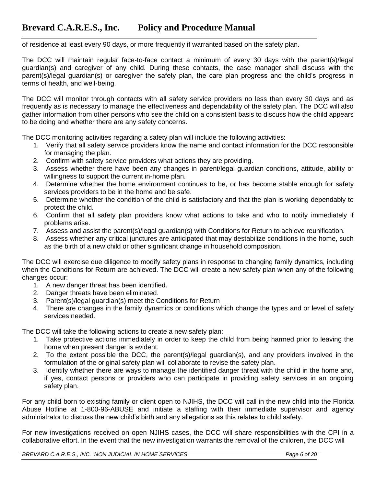of residence at least every 90 days, or more frequently if warranted based on the safety plan.

The DCC will maintain regular face-to-face contact a minimum of every 30 days with the parent(s)/legal guardian(s) and caregiver of any child. During these contacts, the case manager shall discuss with the parent(s)/legal guardian(s) or caregiver the safety plan, the care plan progress and the child's progress in terms of health, and well-being.

The DCC will monitor through contacts with all safety service providers no less than every 30 days and as frequently as is necessary to manage the effectiveness and dependability of the safety plan. The DCC will also gather information from other persons who see the child on a consistent basis to discuss how the child appears to be doing and whether there are any safety concerns.

The DCC monitoring activities regarding a safety plan will include the following activities:

- 1. Verify that all safety service providers know the name and contact information for the DCC responsible for managing the plan.
- 2. Confirm with safety service providers what actions they are providing.
- 3. Assess whether there have been any changes in parent/legal guardian conditions, attitude, ability or willingness to support the current in-home plan.
- 4. Determine whether the home environment continues to be, or has become stable enough for safety services providers to be in the home and be safe.
- 5. Determine whether the condition of the child is satisfactory and that the plan is working dependably to protect the child.
- 6. Confirm that all safety plan providers know what actions to take and who to notify immediately if problems arise.
- 7. Assess and assist the parent(s)/legal guardian(s) with Conditions for Return to achieve reunification.
- 8. Assess whether any critical junctures are anticipated that may destabilize conditions in the home, such as the birth of a new child or other significant change in household composition.

The DCC will exercise due diligence to modify safety plans in response to changing family dynamics, including when the Conditions for Return are achieved. The DCC will create a new safety plan when any of the following changes occur:

- 1. A new danger threat has been identified.
- 2. Danger threats have been eliminated.
- 3. Parent(s)/legal guardian(s) meet the Conditions for Return
- 4. There are changes in the family dynamics or conditions which change the types and or level of safety services needed.

The DCC will take the following actions to create a new safety plan:

- 1. Take protective actions immediately in order to keep the child from being harmed prior to leaving the home when present danger is evident.
- 2. To the extent possible the DCC, the parent(s)/legal guardian(s), and any providers involved in the formulation of the original safety plan will collaborate to revise the safety plan.
- 3. Identify whether there are ways to manage the identified danger threat with the child in the home and, if yes, contact persons or providers who can participate in providing safety services in an ongoing safety plan.

For any child born to existing family or client open to NJIHS, the DCC will call in the new child into the Florida Abuse Hotline at 1-800-96-ABUSE and initiate a staffing with their immediate supervisor and agency administrator to discuss the new child's birth and any allegations as this relates to child safety.

For new investigations received on open NJIHS cases, the DCC will share responsibilities with the CPI in a collaborative effort. In the event that the new investigation warrants the removal of the children, the DCC will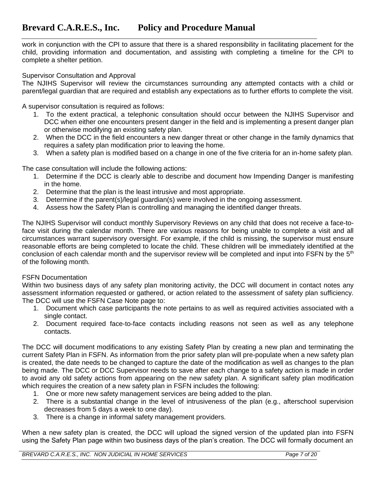work in conjunction with the CPI to assure that there is a shared responsibility in facilitating placement for the child, providing information and documentation, and assisting with completing a timeline for the CPI to complete a shelter petition.

### Supervisor Consultation and Approval

The NJIHS Supervisor will review the circumstances surrounding any attempted contacts with a child or parent/legal guardian that are required and establish any expectations as to further efforts to complete the visit.

A supervisor consultation is required as follows:

- 1. To the extent practical, a telephonic consultation should occur between the NJIHS Supervisor and DCC when either one encounters present danger in the field and is implementing a present danger plan or otherwise modifying an existing safety plan.
- 2. When the DCC in the field encounters a new danger threat or other change in the family dynamics that requires a safety plan modification prior to leaving the home.
- 3. When a safety plan is modified based on a change in one of the five criteria for an in-home safety plan.

The case consultation will include the following actions:

- 1. Determine if the DCC is clearly able to describe and document how Impending Danger is manifesting in the home.
- 2. Determine that the plan is the least intrusive and most appropriate.
- 3. Determine if the parent(s)/legal guardian(s) were involved in the ongoing assessment.
- 4. Assess how the Safety Plan is controlling and managing the identified danger threats.

The NJIHS Supervisor will conduct monthly Supervisory Reviews on any child that does not receive a face-toface visit during the calendar month. There are various reasons for being unable to complete a visit and all circumstances warrant supervisory oversight. For example, if the child is missing, the supervisor must ensure reasonable efforts are being completed to locate the child. These children will be immediately identified at the conclusion of each calendar month and the supervisor review will be completed and input into FSFN by the 5<sup>th</sup> of the following month.

### FSFN Documentation

Within two business days of any safety plan monitoring activity, the DCC will document in contact notes any assessment information requested or gathered, or action related to the assessment of safety plan sufficiency. The DCC will use the FSFN Case Note page to:

- 1. Document which case participants the note pertains to as well as required activities associated with a single contact.
- 2. Document required face-to-face contacts including reasons not seen as well as any telephone contacts.

The DCC will document modifications to any existing Safety Plan by creating a new plan and terminating the current Safety Plan in FSFN. As information from the prior safety plan will pre-populate when a new safety plan is created, the date needs to be changed to capture the date of the modification as well as changes to the plan being made. The DCC or DCC Supervisor needs to save after each change to a safety action is made in order to avoid any old safety actions from appearing on the new safety plan. A significant safety plan modification which requires the creation of a new safety plan in FSFN includes the following:

- 1. One or more new safety management services are being added to the plan.
- 2. There is a substantial change in the level of intrusiveness of the plan (e.g., afterschool supervision decreases from 5 days a week to one day).
- 3. There is a change in informal safety management providers.

When a new safety plan is created, the DCC will upload the signed version of the updated plan into FSFN using the Safety Plan page within two business days of the plan's creation. The DCC will formally document an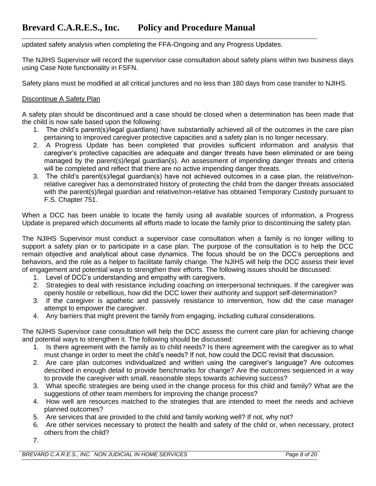updated safety analysis when completing the FFA-Ongoing and any Progress Updates.

The NJIHS Supervisor will record the supervisor case consultation about safety plans within two business days using Case Note functionality in FSFN.

Safety plans must be modified at all critical junctures and no less than 180 days from case transfer to NJIHS.

## Discontinue A Safety Plan

A safety plan should be discontinued and a case should be closed when a determination has been made that the child is now safe based upon the following:

- 1. The child's parent(s)/legal guardians) have substantially achieved all of the outcomes in the care plan pertaining to improved caregiver protective capacities and a safety plan is no longer necessary.
- 2. A Progress Update has been completed that provides sufficient information and analysis that caregiver's protective capacities are adequate and danger threats have been eliminated or are being managed by the parent(s)/legal guardian(s). An assessment of impending danger threats and criteria will be completed and reflect that there are no active impending danger threats.
- 3. The child's parent(s)/legal guardian(s) have not achieved outcomes in a case plan, the relative/nonrelative caregiver has a demonstrated history of protecting the child from the danger threats associated with the parent(s)/legal guardian and relative/non-relative has obtained Temporary Custody pursuant to F.S. Chapter 751.

When a DCC has been unable to locate the family using all available sources of information, a Progress Update is prepared which documents all efforts made to locate the family prior to discontinuing the safety plan.

The NJIHS Supervisor must conduct a supervisor case consultation when a family is no longer willing to support a safety plan or to participate in a case plan. The purpose of the consultation is to help the DCC remain objective and analytical about case dynamics. The focus should be on the DCC's perceptions and behaviors, and the role as a helper to facilitate family change. The NJIHS will help the DCC assess their level of engagement and potential ways to strengthen their efforts. The following issues should be discussed:

- 1. Level of DCC's understanding and empathy with caregivers.
- 2. Strategies to deal with resistance including coaching on interpersonal techniques. If the caregiver was openly hostile or rebellious, how did the DCC lower their authority and support self-determination?
- 3. If the caregiver is apathetic and passively resistance to intervention, how did the case manager attempt to empower the caregiver.
- 4. Any barriers that might prevent the family from engaging, including cultural considerations.

The NJIHS Supervisor case consultation will help the DCC assess the current care plan for achieving change and potential ways to strengthen it. The following should be discussed:

- 1. Is there agreement with the family as to child needs? Is there agreement with the caregiver as to what must change in order to meet the child's needs? If not, how could the DCC revisit that discussion.
- 2. Are care plan outcomes individualized and written using the caregiver's language? Are outcomes described in enough detail to provide benchmarks for change? Are the outcomes sequenced in a way to provide the caregiver with small, reasonable steps towards achieving success?
- 3. What specific strategies are being used in the change process for this child and family? What are the suggestions of other team members for improving the change process?
- 4. How well are resources matched to the strategies that are intended to meet the needs and achieve planned outcomes?
- 5. Are services that are provided to the child and family working well? If not, why not?
- 6. Are other services necessary to protect the health and safety of the child or, when necessary, protect others from the child?
- 7.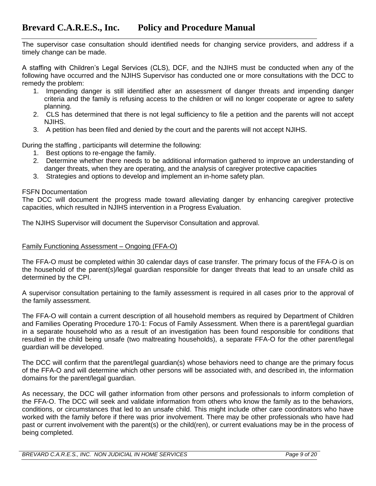The supervisor case consultation should identified needs for changing service providers, and address if a timely change can be made.

A staffing with Children's Legal Services (CLS), DCF, and the NJIHS must be conducted when any of the following have occurred and the NJIHS Supervisor has conducted one or more consultations with the DCC to remedy the problem:

- 1. Impending danger is still identified after an assessment of danger threats and impending danger criteria and the family is refusing access to the children or will no longer cooperate or agree to safety planning.
- 2. CLS has determined that there is not legal sufficiency to file a petition and the parents will not accept NJIHS.
- 3. A petition has been filed and denied by the court and the parents will not accept NJIHS.

During the staffing , participants will determine the following:

- 1. Best options to re-engage the family.
- 2. Determine whether there needs to be additional information gathered to improve an understanding of danger threats, when they are operating, and the analysis of caregiver protective capacities
- 3. Strategies and options to develop and implement an in-home safety plan.

## FSFN Documentation

The DCC will document the progress made toward alleviating danger by enhancing caregiver protective capacities, which resulted in NJIHS intervention in a Progress Evaluation.

The NJIHS Supervisor will document the Supervisor Consultation and approval.

## Family Functioning Assessment – Ongoing (FFA-O)

The FFA-O must be completed within 30 calendar days of case transfer. The primary focus of the FFA-O is on the household of the parent(s)/legal guardian responsible for danger threats that lead to an unsafe child as determined by the CPI.

A supervisor consultation pertaining to the family assessment is required in all cases prior to the approval of the family assessment.

The FFA-O will contain a current description of all household members as required by Department of Children and Families Operating Procedure 170-1: Focus of Family Assessment. When there is a parent/legal guardian in a separate household who as a result of an investigation has been found responsible for conditions that resulted in the child being unsafe (two maltreating households), a separate FFA-O for the other parent/legal guardian will be developed.

The DCC will confirm that the parent/legal guardian(s) whose behaviors need to change are the primary focus of the FFA-O and will determine which other persons will be associated with, and described in, the information domains for the parent/legal guardian.

As necessary, the DCC will gather information from other persons and professionals to inform completion of the FFA-O. The DCC will seek and validate information from others who know the family as to the behaviors, conditions, or circumstances that led to an unsafe child. This might include other care coordinators who have worked with the family before if there was prior involvement. There may be other professionals who have had past or current involvement with the parent(s) or the child(ren), or current evaluations may be in the process of being completed.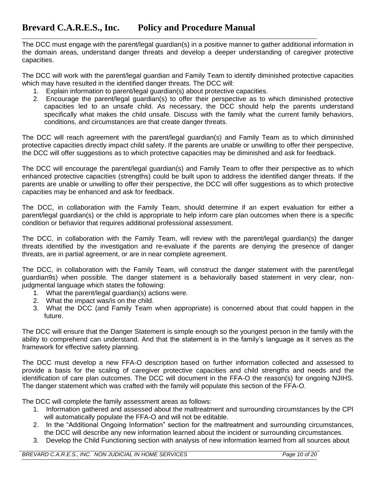The DCC must engage with the parent/legal guardian(s) in a positive manner to gather additional information in the domain areas, understand danger threats and develop a deeper understanding of caregiver protective capacities.

The DCC will work with the parent/legal guardian and Family Team to identify diminished protective capacities which may have resulted in the identified danger threats. The DCC will:

- 1. Explain information to parent/legal guardian(s) about protective capacities.
- 2. Encourage the parent/legal guardian(s) to offer their perspective as to which diminished protective capacities led to an unsafe child. As necessary, the DCC should help the parents understand specifically what makes the child unsafe. Discuss with the family what the current family behaviors, conditions, and circumstances are that create danger threats.

The DCC will reach agreement with the parent/legal guardian(s) and Family Team as to which diminished protective capacities directly impact child safety. If the parents are unable or unwilling to offer their perspective, the DCC will offer suggestions as to which protective capacities may be diminished and ask for feedback.

The DCC will encourage the parent/legal guardian(s) and Family Team to offer their perspective as to which enhanced protective capacities (strengths) could be built upon to address the identified danger threats. If the parents are unable or unwilling to offer their perspective, the DCC will offer suggestions as to which protective capacities may be enhanced and ask for feedback.

The DCC, in collaboration with the Family Team, should determine if an expert evaluation for either a parent/legal guardian(s) or the child is appropriate to help inform care plan outcomes when there is a specific condition or behavior that requires additional professional assessment.

The DCC, in collaboration with the Family Team, will review with the parent/legal guardian(s) the danger threats identified by the investigation and re-evaluate if the parents are denying the presence of danger threats, are in partial agreement, or are in near complete agreement.

The DCC, in collaboration with the Family Team, will construct the danger statement with the parent/legal guardian9s) when possible. The danger statement is a behaviorally based statement in very clear, nonjudgmental language which states the following:

- 1. What the parent/legal guardian(s) actions were.
- 2. What the impact was/is on the child.
- 3. What the DCC (and Family Team when appropriate) is concerned about that could happen in the future.

The DCC will ensure that the Danger Statement is simple enough so the youngest person in the family with the ability to comprehend can understand. And that the statement is in the family's language as it serves as the framework for effective safety planning.

The DCC must develop a new FFA-O description based on further information collected and assessed to provide a basis for the scaling of caregiver protective capacities and child strengths and needs and the identification of care plan outcomes. The DCC will document in the FFA-O the reason(s) for ongoing NJIHS. The danger statement which was crafted with the family will populate this section of the FFA-O.

The DCC will complete the family assessment areas as follows:

- 1. Information gathered and assessed about the maltreatment and surrounding circumstances by the CPI will automatically populate the FFA-O and will not be editable.
- 2. In the "Additional Ongoing Information" section for the maltreatment and surrounding circumstances, the DCC will describe any new information learned about the incident or surrounding circumstances.
- 3. Develop the Child Functioning section with analysis of new information learned from all sources about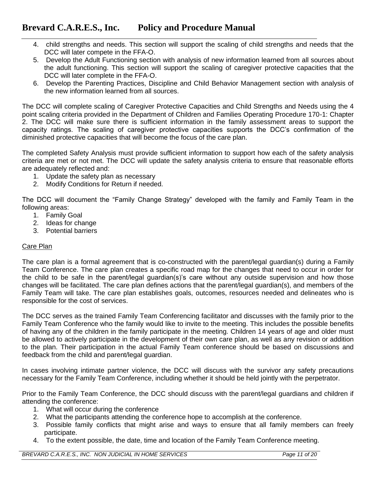- 4. child strengths and needs. This section will support the scaling of child strengths and needs that the DCC will later compete in the FFA-O.
- 5. Develop the Adult Functioning section with analysis of new information learned from all sources about the adult functioning. This section will support the scaling of caregiver protective capacities that the DCC will later complete in the FFA-O.
- 6. Develop the Parenting Practices, Discipline and Child Behavior Management section with analysis of the new information learned from all sources.

The DCC will complete scaling of Caregiver Protective Capacities and Child Strengths and Needs using the 4 point scaling criteria provided in the Department of Children and Families Operating Procedure 170-1: Chapter 2. The DCC will make sure there is sufficient information in the family assessment areas to support the capacity ratings. The scaling of caregiver protective capacities supports the DCC's confirmation of the diminished protective capacities that will become the focus of the care plan.

The completed Safety Analysis must provide sufficient information to support how each of the safety analysis criteria are met or not met. The DCC will update the safety analysis criteria to ensure that reasonable efforts are adequately reflected and:

- 1. Update the safety plan as necessary
- 2. Modify Conditions for Return if needed.

The DCC will document the "Family Change Strategy" developed with the family and Family Team in the following areas:

- 1. Family Goal
- 2. Ideas for change
- 3. Potential barriers

## Care Plan

The care plan is a formal agreement that is co-constructed with the parent/legal guardian(s) during a Family Team Conference. The care plan creates a specific road map for the changes that need to occur in order for the child to be safe in the parent/legal guardian(s)'s care without any outside supervision and how those changes will be facilitated. The care plan defines actions that the parent/legal guardian(s), and members of the Family Team will take. The care plan establishes goals, outcomes, resources needed and delineates who is responsible for the cost of services.

The DCC serves as the trained Family Team Conferencing facilitator and discusses with the family prior to the Family Team Conference who the family would like to invite to the meeting. This includes the possible benefits of having any of the children in the family participate in the meeting. Children 14 years of age and older must be allowed to actively participate in the development of their own care plan, as well as any revision or addition to the plan. Their participation in the actual Family Team conference should be based on discussions and feedback from the child and parent/legal guardian.

In cases involving intimate partner violence, the DCC will discuss with the survivor any safety precautions necessary for the Family Team Conference, including whether it should be held jointly with the perpetrator.

Prior to the Family Team Conference, the DCC should discuss with the parent/legal guardians and children if attending the conference:

- 1. What will occur during the conference
- 2. What the participants attending the conference hope to accomplish at the conference.
- 3. Possible family conflicts that might arise and ways to ensure that all family members can freely participate.
- 4. To the extent possible, the date, time and location of the Family Team Conference meeting.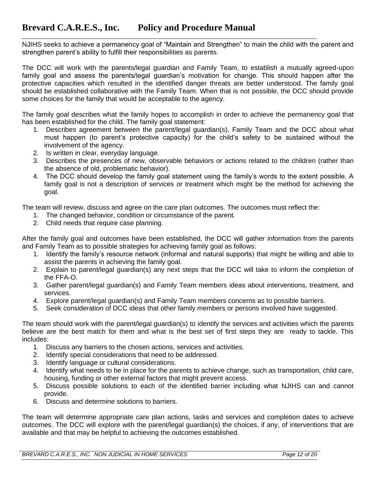NJIHS seeks to achieve a permanency goal of "Maintain and Strengthen" to main the child with the parent and strengthen parent's ability to fulfill their responsibilities as parents.

The DCC will work with the parents/legal guardian and Family Team, to establish a mutually agreed-upon family goal and assess the parents/legal guardian's motivation for change. This should happen after the protective capacities which resulted in the identified danger threats are better understood. The family goal should be established collaborative with the Family Team. When that is not possible, the DCC should provide some choices for the family that would be acceptable to the agency.

The family goal describes what the family hopes to accomplish in order to achieve the permanency goal that has been established for the child. The family goal statement:

- 1. Describes agreement between the parent/legal guardian(s), Family Team and the DCC about what must happen (to parent's protective capacity) for the child's safety to be sustained without the involvement of the agency.
- 2. Is written in clear, everyday language.
- 3. Describes the presences of new, observable behaviors or actions related to the children (rather than the absence of old, problematic behavior).
- 4. The DCC should develop the family goal statement using the family's words to the extent possible. A family goal is not a description of services or treatment which might be the method for achieving the goal.

The team will review, discuss and agree on the care plan outcomes. The outcomes must reflect the:

- 1. The changed behavior, condition or circumstance of the parent.
- 2. Child needs that require case planning.

After the family goal and outcomes have been established, the DCC will gather information from the parents and Family Team as to possible strategies for achieving family goal as follows:

- 1. Identify the family's resource network (informal and natural supports) that might be willing and able to assist the parents in achieving the family goal.
- 2. Explain to parent/legal guardian(s) any next steps that the DCC will take to inform the completion of the FFA-O.
- 3. Gather parent/legal guardian(s) and Family Team members ideas about interventions, treatment, and services.
- 4. Explore parent/legal guardian(s) and Family Team members concerns as to possible barriers.
- 5. Seek consideration of DCC ideas that other family members or persons involved have suggested.

The team should work with the parent/legal guardian(s) to identify the services and activities which the parents believe are the best match for them and what is the best set of first steps they are ready to tackle. This includes:

- 1. Discuss any barriers to the chosen actions, services and activities.
- 2. Identify special considerations that need to be addressed.
- 3. Identify language or cultural considerations.
- 4. Identify what needs to be in place for the parents to achieve change, such as transportation, child care, housing, funding or other external factors that might prevent access.
- 5. Discuss possible solutions to each of the identified barrier including what NJIHS can and cannot provide.
- 6. Discuss and determine solutions to barriers.

The team will determine appropriate care plan actions, tasks and services and completion dates to achieve outcomes. The DCC will explore with the parent/legal guardian(s) the choices, if any, of interventions that are available and that may be helpful to achieving the outcomes established.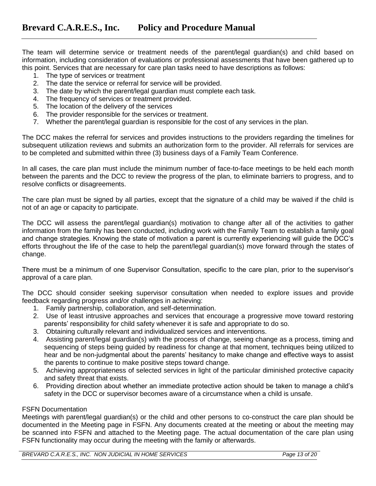The team will determine service or treatment needs of the parent/legal guardian(s) and child based on information, including consideration of evaluations or professional assessments that have been gathered up to this point. Services that are necessary for care plan tasks need to have descriptions as follows:

- 1. The type of services or treatment
- 2. The date the service or referral for service will be provided.
- 3. The date by which the parent/legal guardian must complete each task.
- 4. The frequency of services or treatment provided.
- 5. The location of the delivery of the services
- 6. The provider responsible for the services or treatment.
- 7. Whether the parent/legal guardian is responsible for the cost of any services in the plan.

The DCC makes the referral for services and provides instructions to the providers regarding the timelines for subsequent utilization reviews and submits an authorization form to the provider. All referrals for services are to be completed and submitted within three (3) business days of a Family Team Conference.

In all cases, the care plan must include the minimum number of face-to-face meetings to be held each month between the parents and the DCC to review the progress of the plan, to eliminate barriers to progress, and to resolve conflicts or disagreements.

The care plan must be signed by all parties, except that the signature of a child may be waived if the child is not of an age or capacity to participate.

The DCC will assess the parent/legal guardian(s) motivation to change after all of the activities to gather information from the family has been conducted, including work with the Family Team to establish a family goal and change strategies. Knowing the state of motivation a parent is currently experiencing will guide the DCC's efforts throughout the life of the case to help the parent/legal guardian(s) move forward through the states of change.

There must be a minimum of one Supervisor Consultation, specific to the care plan, prior to the supervisor's approval of a care plan.

The DCC should consider seeking supervisor consultation when needed to explore issues and provide feedback regarding progress and/or challenges in achieving:

- 1. Family partnership, collaboration, and self-determination.
- 2. Use of least intrusive approaches and services that encourage a progressive move toward restoring parents' responsibility for child safety whenever it is safe and appropriate to do so.
- 3. Obtaining culturally relevant and individualized services and interventions.
- 4. Assisting parent/legal guardian(s) with the process of change, seeing change as a process, timing and sequencing of steps being guided by readiness for change at that moment, techniques being utilized to hear and be non-judgmental about the parents' hesitancy to make change and effective ways to assist the parents to continue to make positive steps toward change.
- 5. Achieving appropriateness of selected services in light of the particular diminished protective capacity and safety threat that exists.
- 6. Providing direction about whether an immediate protective action should be taken to manage a child's safety in the DCC or supervisor becomes aware of a circumstance when a child is unsafe.

### FSFN Documentation

Meetings with parent/legal guardian(s) or the child and other persons to co-construct the care plan should be documented in the Meeting page in FSFN. Any documents created at the meeting or about the meeting may be scanned into FSFN and attached to the Meeting page. The actual documentation of the care plan using FSFN functionality may occur during the meeting with the family or afterwards.

*BREVARD C.A.R.E.S., INC. NON JUDICIAL IN HOME SERVICES Page 13 of 20*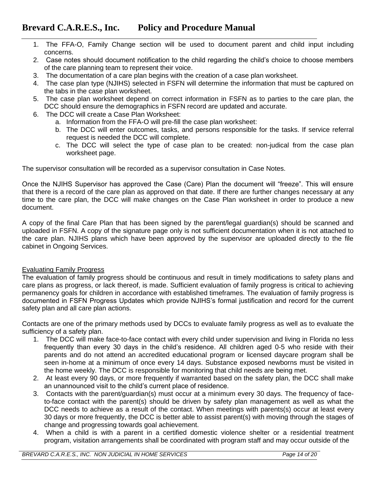- 1. The FFA-O, Family Change section will be used to document parent and child input including concerns.
- 2. Case notes should document notification to the child regarding the child's choice to choose members of the care planning team to represent their voice.
- 3. The documentation of a care plan begins with the creation of a case plan worksheet.
- 4. The case plan type (NJIHS) selected in FSFN will determine the information that must be captured on the tabs in the case plan worksheet.
- 5. The case plan worksheet depend on correct information in FSFN as to parties to the care plan, the DCC should ensure the demographics in FSFN record are updated and accurate.
- 6. The DCC will create a Case Plan Worksheet:
	- a. Information from the FFA-O will pre-fill the case plan worksheet:
	- b. The DCC will enter outcomes, tasks, and persons responsible for the tasks. If service referral request is needed the DCC will complete.
	- c. The DCC will select the type of case plan to be created: non-judical from the case plan worksheet page.

The supervisor consultation will be recorded as a supervisor consultation in Case Notes.

Once the NJIHS Supervisor has approved the Case (Care) Plan the document will "freeze". This will ensure that there is a record of the care plan as approved on that date. If there are further changes necessary at any time to the care plan, the DCC will make changes on the Case Plan worksheet in order to produce a new document.

A copy of the final Care Plan that has been signed by the parent/legal guardian(s) should be scanned and uploaded in FSFN. A copy of the signature page only is not sufficient documentation when it is not attached to the care plan. NJIHS plans which have been approved by the supervisor are uploaded directly to the file cabinet in Ongoing Services.

## Evaluating Family Progress

The evaluation of family progress should be continuous and result in timely modifications to safety plans and care plans as progress, or lack thereof, is made. Sufficient evaluation of family progress is critical to achieving permanency goals for children in accordance with established timeframes. The evaluation of family progress is documented in FSFN Progress Updates which provide NJIHS's formal justification and record for the current safety plan and all care plan actions.

Contacts are one of the primary methods used by DCCs to evaluate family progress as well as to evaluate the sufficiency of a safety plan.

- 1. The DCC will make face-to-face contact with every child under supervision and living in Florida no less frequently than every 30 days in the child's residence. All children aged 0-5 who reside with their parents and do not attend an accredited educational program or licensed daycare program shall be seen in-home at a minimum of once every 14 days. Substance exposed newborns must be visited in the home weekly. The DCC is responsible for monitoring that child needs are being met.
- 2. At least every 90 days, or more frequently if warranted based on the safety plan, the DCC shall make an unannounced visit to the child's current place of residence.
- 3. Contacts with the parent/guardian(s) must occur at a minimum every 30 days. The frequency of faceto-face contact with the parent(s) should be driven by safety plan management as well as what the DCC needs to achieve as a result of the contact. When meetings with parents(s) occur at least every 30 days or more frequently, the DCC is better able to assist parent(s) with moving through the stages of change and progressing towards goal achievement.
- 4. When a child is with a parent in a certified domestic violence shelter or a residential treatment program, visitation arrangements shall be coordinated with program staff and may occur outside of the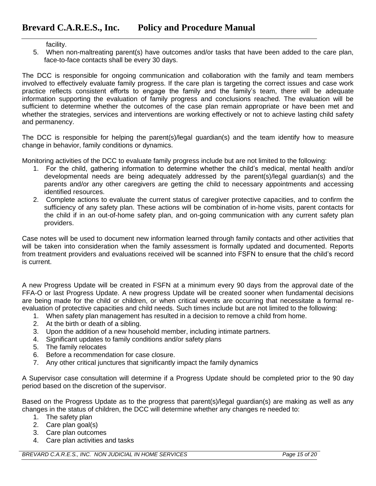facility.

5. When non-maltreating parent(s) have outcomes and/or tasks that have been added to the care plan, face-to-face contacts shall be every 30 days.

The DCC is responsible for ongoing communication and collaboration with the family and team members involved to effectively evaluate family progress. If the care plan is targeting the correct issues and case work practice reflects consistent efforts to engage the family and the family's team, there will be adequate information supporting the evaluation of family progress and conclusions reached. The evaluation will be sufficient to determine whether the outcomes of the case plan remain appropriate or have been met and whether the strategies, services and interventions are working effectively or not to achieve lasting child safety and permanency.

The DCC is responsible for helping the parent(s)/legal guardian(s) and the team identify how to measure change in behavior, family conditions or dynamics.

Monitoring activities of the DCC to evaluate family progress include but are not limited to the following:

- 1. For the child, gathering information to determine whether the child's medical, mental health and/or developmental needs are being adequately addressed by the parent(s)/legal guardian(s) and the parents and/or any other caregivers are getting the child to necessary appointments and accessing identified resources.
- 2. Complete actions to evaluate the current status of caregiver protective capacities, and to confirm the sufficiency of any safety plan. These actions will be combination of in-home visits, parent contacts for the child if in an out-of-home safety plan, and on-going communication with any current safety plan providers.

Case notes will be used to document new information learned through family contacts and other activities that will be taken into consideration when the family assessment is formally updated and documented. Reports from treatment providers and evaluations received will be scanned into FSFN to ensure that the child's record is current.

A new Progress Update will be created in FSFN at a minimum every 90 days from the approval date of the FFA-O or last Progress Update. A new progress Update will be created sooner when fundamental decisions are being made for the child or children, or when critical events are occurring that necessitate a formal reevaluation of protective capacities and child needs. Such times include but are not limited to the following:

- 1. When safety plan management has resulted in a decision to remove a child from home.
- 2. At the birth or death of a sibling.
- 3. Upon the addition of a new household member, including intimate partners.
- 4. Significant updates to family conditions and/or safety plans
- 5. The family relocates
- 6. Before a recommendation for case closure.
- 7. Any other critical junctures that significantly impact the family dynamics

A Supervisor case consultation will determine if a Progress Update should be completed prior to the 90 day period based on the discretion of the supervisor.

Based on the Progress Update as to the progress that parent(s)/legal guardian(s) are making as well as any changes in the status of children, the DCC will determine whether any changes re needed to:

- 1. The safety plan
- 2. Care plan goal(s)
- 3. Care plan outcomes
- 4. Care plan activities and tasks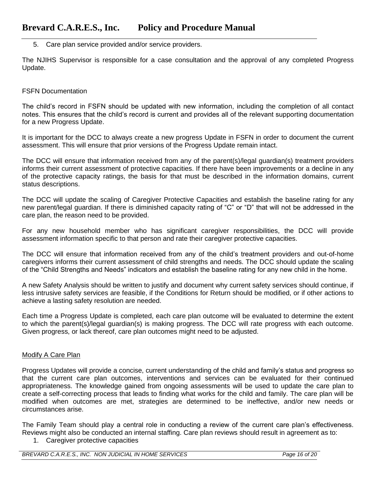5. Care plan service provided and/or service providers.

The NJIHS Supervisor is responsible for a case consultation and the approval of any completed Progress Update.

### FSFN Documentation

The child's record in FSFN should be updated with new information, including the completion of all contact notes. This ensures that the child's record is current and provides all of the relevant supporting documentation for a new Progress Update.

It is important for the DCC to always create a new progress Update in FSFN in order to document the current assessment. This will ensure that prior versions of the Progress Update remain intact.

The DCC will ensure that information received from any of the parent(s)/legal guardian(s) treatment providers informs their current assessment of protective capacities. If there have been improvements or a decline in any of the protective capacity ratings, the basis for that must be described in the information domains, current status descriptions.

The DCC will update the scaling of Caregiver Protective Capacities and establish the baseline rating for any new parent/legal guardian. If there is diminished capacity rating of "C" or "D" that will not be addressed in the care plan, the reason need to be provided.

For any new household member who has significant caregiver responsibilities, the DCC will provide assessment information specific to that person and rate their caregiver protective capacities.

The DCC will ensure that information received from any of the child's treatment providers and out-of-home caregivers informs their current assessment of child strengths and needs. The DCC should update the scaling of the "Child Strengths and Needs" indicators and establish the baseline rating for any new child in the home.

A new Safety Analysis should be written to justify and document why current safety services should continue, if less intrusive safety services are feasible, if the Conditions for Return should be modified, or if other actions to achieve a lasting safety resolution are needed.

Each time a Progress Update is completed, each care plan outcome will be evaluated to determine the extent to which the parent(s)/legal guardian(s) is making progress. The DCC will rate progress with each outcome. Given progress, or lack thereof, care plan outcomes might need to be adjusted.

## Modify A Care Plan

Progress Updates will provide a concise, current understanding of the child and family's status and progress so that the current care plan outcomes, interventions and services can be evaluated for their continued appropriateness. The knowledge gained from ongoing assessments will be used to update the care plan to create a self-correcting process that leads to finding what works for the child and family. The care plan will be modified when outcomes are met, strategies are determined to be ineffective, and/or new needs or circumstances arise.

The Family Team should play a central role in conducting a review of the current care plan's effectiveness. Reviews might also be conducted an internal staffing. Care plan reviews should result in agreement as to:

1. Caregiver protective capacities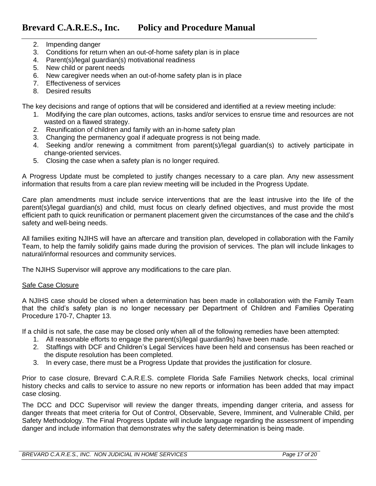- 2. Impending danger
- 3. Conditions for return when an out-of-home safety plan is in place
- 4. Parent(s)/legal guardian(s) motivational readiness
- 5. New child or parent needs
- 6. New caregiver needs when an out-of-home safety plan is in place
- 7. Effectiveness of services
- 8. Desired results

The key decisions and range of options that will be considered and identified at a review meeting include:

- 1. Modifying the care plan outcomes, actions, tasks and/or services to ensrue time and resources are not wasted on a flawed strategy.
- 2. Reunification of children and family with an in-home safety plan
- 3. Changing the permanency goal if adequate progress is not being made.
- 4. Seeking and/or renewing a commitment from parent(s)/legal guardian(s) to actively participate in change-oriented services.
- 5. Closing the case when a safety plan is no longer required.

A Progress Update must be completed to justify changes necessary to a care plan. Any new assessment information that results from a care plan review meeting will be included in the Progress Update.

Care plan amendments must include service interventions that are the least intrusive into the life of the parent(s)/legal guardian(s) and child, must focus on clearly defined objectives, and must provide the most efficient path to quick reunification or permanent placement given the circumstances of the case and the child's safety and well-being needs.

All families exiting NJIHS will have an aftercare and transition plan, developed in collaboration with the Family Team, to help the family solidify gains made during the provision of services. The plan will include linkages to natural/informal resources and community services.

The NJIHS Supervisor will approve any modifications to the care plan.

## Safe Case Closure

A NJIHS case should be closed when a determination has been made in collaboration with the Family Team that the child's safety plan is no longer necessary per Department of Children and Families Operating Procedure 170-7, Chapter 13.

If a child is not safe, the case may be closed only when all of the following remedies have been attempted:

- 1. All reasonable efforts to engage the parent(s)/legal guardian9s) have been made.
- 2. Staffings with DCF and Children's Legal Services have been held and consensus has been reached or the dispute resolution has been completed.
- 3. In every case, there must be a Progress Update that provides the justification for closure.

Prior to case closure, Brevard C.A.R.E.S. complete Florida Safe Families Network checks, local criminal history checks and calls to service to assure no new reports or information has been added that may impact case closing.

The DCC and DCC Supervisor will review the danger threats, impending danger criteria, and assess for danger threats that meet criteria for Out of Control, Observable, Severe, Imminent, and Vulnerable Child, per Safety Methodology. The Final Progress Update will include language regarding the assessment of impending danger and include information that demonstrates why the safety determination is being made.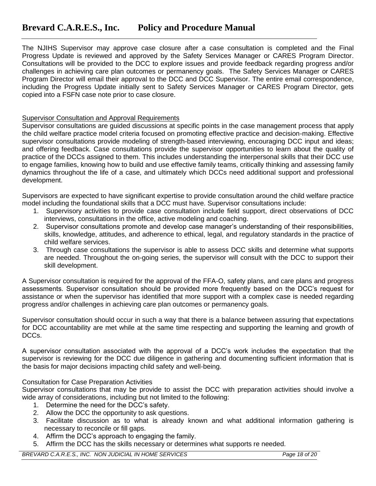The NJIHS Supervisor may approve case closure after a case consultation is completed and the Final Progress Update is reviewed and approved by the Safety Services Manager or CARES Program Director. Consultations will be provided to the DCC to explore issues and provide feedback regarding progress and/or challenges in achieving care plan outcomes or permanency goals. The Safety Services Manager or CARES Program Director will email their approval to the DCC and DCC Supervisor. The entire email correspondence, including the Progress Update initially sent to Safety Services Manager or CARES Program Director, gets copied into a FSFN case note prior to case closure.

## Supervisor Consultation and Approval Requirements

Supervisor consultations are guided discussions at specific points in the case management process that apply the child welfare practice model criteria focused on promoting effective practice and decision-making. Effective supervisor consultations provide modeling of strength-based interviewing, encouraging DCC input and ideas; and offering feedback. Case consultations provide the supervisor opportunities to learn about the quality of practice of the DCCs assigned to them. This includes understanding the interpersonal skills that their DCC use to engage families, knowing how to build and use effective family teams, critically thinking and assessing family dynamics throughout the life of a case, and ultimately which DCCs need additional support and professional development.

Supervisors are expected to have significant expertise to provide consultation around the child welfare practice model including the foundational skills that a DCC must have. Supervisor consultations include:

- 1. Supervisory activities to provide case consultation include field support, direct observations of DCC interviews, consultations in the office, active modeling and coaching.
- 2. Supervisor consultations promote and develop case manager's understanding of their responsibilities, skills, knowledge, attitudes, and adherence to ethical, legal, and regulatory standards in the practice of child welfare services.
- 3. Through case consultations the supervisor is able to assess DCC skills and determine what supports are needed. Throughout the on-going series, the supervisor will consult with the DCC to support their skill development.

A Supervisor consultation is required for the approval of the FFA-O, safety plans, and care plans and progress assessments. Supervisor consultation should be provided more frequently based on the DCC's request for assistance or when the supervisor has identified that more support with a complex case is needed regarding progress and/or challenges in achieving care plan outcomes or permanency goals.

Supervisor consultation should occur in such a way that there is a balance between assuring that expectations for DCC accountability are met while at the same time respecting and supporting the learning and growth of DCCs.

A supervisor consultation associated with the approval of a DCC's work includes the expectation that the supervisor is reviewing for the DCC due diligence in gathering and documenting sufficient information that is the basis for major decisions impacting child safety and well-being.

## Consultation for Case Preparation Activities

Supervisor consultations that may be provide to assist the DCC with preparation activities should involve a wide array of considerations, including but not limited to the following:

- 1. Determine the need for the DCC's safety.
- 2. Allow the DCC the opportunity to ask questions.
- 3. Facilitate discussion as to what is already known and what additional information gathering is necessary to reconcile or fill gaps.
- 4. Affirm the DCC's approach to engaging the family.
- 5. Affirm the DCC has the skills necessary or determines what supports re needed.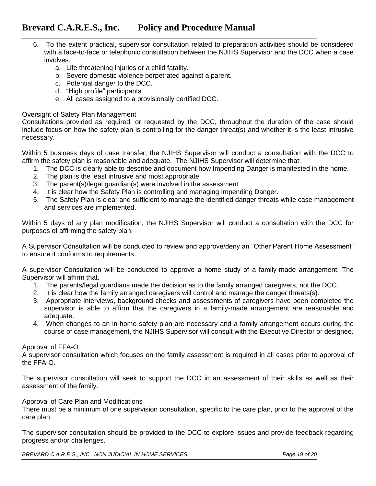- 6. To the extent practical, supervisor consultation related to preparation activities should be considered with a face-to-face or telephonic consultation between the NJIHS Supervisor and the DCC when a case involves:
	- a. Life threatening injuries or a child fatality.
	- b. Severe domestic violence perpetrated against a parent.
	- c. Potential danger to the DCC.
	- d. "High profile" participants
	- e. All cases assigned to a provisionally certified DCC.

### Oversight of Safety Plan Management

Consultations provided as required, or requested by the DCC, throughout the duration of the case should include focus on how the safety plan is controlling for the danger threat(s) and whether it is the least intrusive necessary.

Within 5 business days of case transfer, the NJIHS Supervisor will conduct a consultation with the DCC to affirm the safety plan is reasonable and adequate. The NJIHS Supervisor will determine that:

- 1. The DCC is clearly able to describe and document how Impending Danger is manifested in the home.
- 2. The plan is the least intrusive and most appropriate
- 3. The parent(s)/legal guardian(s) were involved in the assessment
- 4. It is clear how the Safety Plan is controlling and managing Impending Danger.
- 5. The Safety Plan is clear and sufficient to manage the identified danger threats while case management and services are implemented.

Within 5 days of any plan modification, the NJIHS Supervisor will conduct a consultation with the DCC for purposes of affirming the safety plan.

A Supervisor Consultation will be conducted to review and approve/deny an "Other Parent Home Assessment" to ensure it conforms to requirements.

A supervisor Consultation will be conducted to approve a home study of a family-made arrangement. The Supervisor will affirm that.

- 1. The parents/legal guardians made the decision as to the family arranged caregivers, not the DCC.
- 2. It is clear how the family arranged caregivers will control and manage the danger threats(s).
- 3. Appropriate interviews, background checks and assessments of caregivers have been completed the supervisor is able to affirm that the caregivers in a family-made arrangement are reasonable and adequate.
- 4. When changes to an in-home safety plan are necessary and a family arrangement occurs during the course of case management, the NJIHS Supervisor will consult with the Executive Director or designee.

### Approval of FFA-O

A supervisor consultation which focuses on the family assessment is required in all cases prior to approval of the FFA-O.

The supervisor consultation will seek to support the DCC in an assessment of their skills as well as their assessment of the family.

### Approval of Care Plan and Modifications

There must be a minimum of one supervision consultation, specific to the care plan, prior to the approval of the care plan.

The supervisor consultation should be provided to the DCC to explore issues and provide feedback regarding progress and/or challenges.

*BREVARD C.A.R.E.S., INC. NON JUDICIAL IN HOME SERVICES Page 19 of 20*